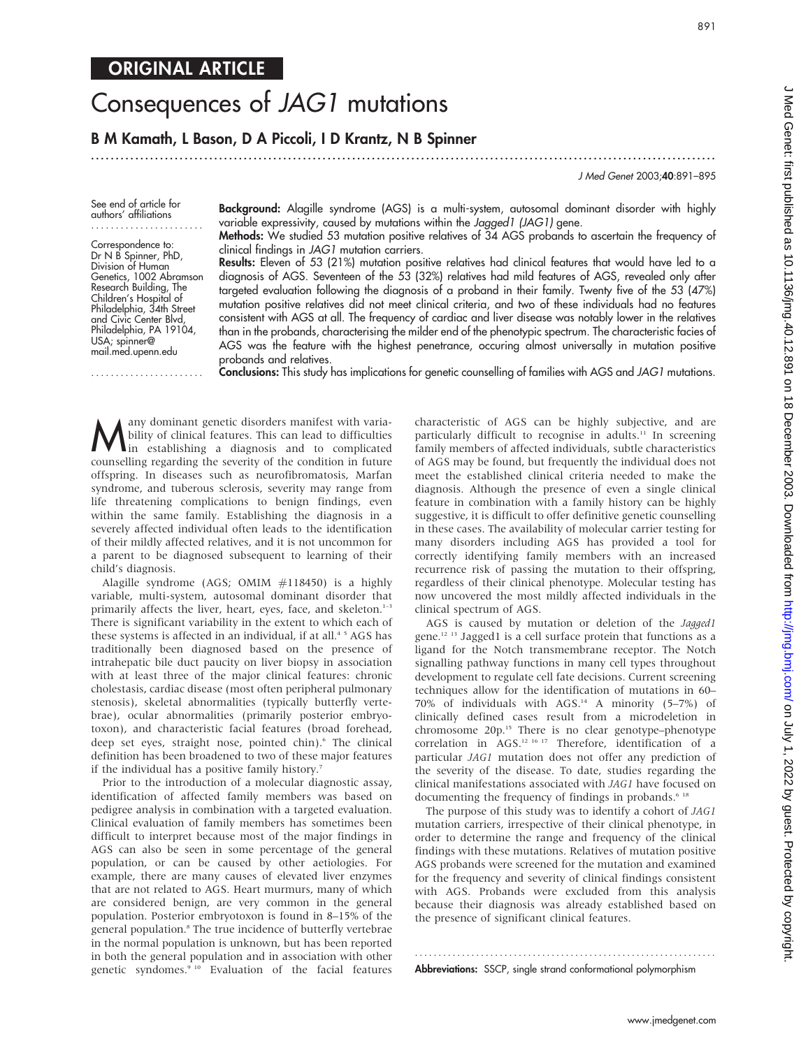## ORIGINAL ARTICLE

# Consequences of JAG1 mutations

B M Kamath, L Bason, D A Piccoli, I D Krantz, N B Spinner

J Med Genet 2003;40:891–895

891

See end of article for authors' affiliations .......................

Correspondence to: Dr N B Spinner, PhD. Division of Human Genetics, 1002 Abramson Research Building, The Children's Hospital of Philadelphia, 34th Street and Civic Center Blvd, Philadelphia, PA 19104, USA; spinner@ mail.med.upenn.edu

.......................

Background: Alagille syndrome (AGS) is a multi-system, autosomal dominant disorder with highly variable expressivity, caused by mutations within the *Jagged1 (JAG1)* gene.

.............................................................................................................................. .

Methods: We studied 53 mutation positive relatives of 34 AGS probands to ascertain the frequency of clinical findings in JAG1 mutation carriers.

Results: Eleven of 53 (21%) mutation positive relatives had clinical features that would have led to a diagnosis of AGS. Seventeen of the 53 (32%) relatives had mild features of AGS, revealed only after targeted evaluation following the diagnosis of a proband in their family. Twenty five of the 53 (47%) mutation positive relatives did not meet clinical criteria, and two of these individuals had no features consistent with AGS at all. The frequency of cardiac and liver disease was notably lower in the relatives than in the probands, characterising the milder end of the phenotypic spectrum. The characteristic facies of AGS was the feature with the highest penetrance, occuring almost universally in mutation positive probands and relatives.

Conclusions: This study has implications for genetic counselling of families with AGS and JAG1 mutations.

**Many dominant genetic disorders manifest with varia-**<br>
in establishing a diagnosis and to complicated<br>
councelling regarding the everity of the condition in future bility of clinical features. This can lead to difficulties counselling regarding the severity of the condition in future offspring. In diseases such as neurofibromatosis, Marfan syndrome, and tuberous sclerosis, severity may range from life threatening complications to benign findings, even within the same family. Establishing the diagnosis in a severely affected individual often leads to the identification of their mildly affected relatives, and it is not uncommon for a parent to be diagnosed subsequent to learning of their child's diagnosis.

Alagille syndrome (AGS; OMIM #118450) is a highly variable, multi-system, autosomal dominant disorder that primarily affects the liver, heart, eyes, face, and skeleton.<sup>1-3</sup> There is significant variability in the extent to which each of these systems is affected in an individual, if at all.<sup>45</sup> AGS has traditionally been diagnosed based on the presence of intrahepatic bile duct paucity on liver biopsy in association with at least three of the major clinical features: chronic cholestasis, cardiac disease (most often peripheral pulmonary stenosis), skeletal abnormalities (typically butterfly vertebrae), ocular abnormalities (primarily posterior embryotoxon), and characteristic facial features (broad forehead, deep set eyes, straight nose, pointed chin).<sup>6</sup> The clinical definition has been broadened to two of these major features if the individual has a positive family history.7

Prior to the introduction of a molecular diagnostic assay, identification of affected family members was based on pedigree analysis in combination with a targeted evaluation. Clinical evaluation of family members has sometimes been difficult to interpret because most of the major findings in AGS can also be seen in some percentage of the general population, or can be caused by other aetiologies. For example, there are many causes of elevated liver enzymes that are not related to AGS. Heart murmurs, many of which are considered benign, are very common in the general population. Posterior embryotoxon is found in 8–15% of the general population.<sup>8</sup> The true incidence of butterfly vertebrae in the normal population is unknown, but has been reported in both the general population and in association with other genetic syndomes.<sup>9 10</sup> Evaluation of the facial features characteristic of AGS can be highly subjective, and are particularly difficult to recognise in adults.<sup>11</sup> In screening family members of affected individuals, subtle characteristics of AGS may be found, but frequently the individual does not meet the established clinical criteria needed to make the diagnosis. Although the presence of even a single clinical feature in combination with a family history can be highly suggestive, it is difficult to offer definitive genetic counselling in these cases. The availability of molecular carrier testing for many disorders including AGS has provided a tool for correctly identifying family members with an increased recurrence risk of passing the mutation to their offspring, regardless of their clinical phenotype. Molecular testing has now uncovered the most mildly affected individuals in the clinical spectrum of AGS.

AGS is caused by mutation or deletion of the Jagged1 gene.12 13 Jagged1 is a cell surface protein that functions as a ligand for the Notch transmembrane receptor. The Notch signalling pathway functions in many cell types throughout development to regulate cell fate decisions. Current screening techniques allow for the identification of mutations in 60– 70% of individuals with AGS.14 A minority (5–7%) of clinically defined cases result from a microdeletion in chromosome 20p.<sup>15</sup> There is no clear genotype-phenotype correlation in AGS.12 16 17 Therefore, identification of a particular JAG1 mutation does not offer any prediction of the severity of the disease. To date, studies regarding the clinical manifestations associated with JAG1 have focused on documenting the frequency of findings in probands.<sup>6 18</sup>

The purpose of this study was to identify a cohort of JAG1 mutation carriers, irrespective of their clinical phenotype, in order to determine the range and frequency of the clinical findings with these mutations. Relatives of mutation positive AGS probands were screened for the mutation and examined for the frequency and severity of clinical findings consistent with AGS. Probands were excluded from this analysis because their diagnosis was already established based on the presence of significant clinical features.

Abbreviations: SSCP, single strand conformational polymorphism

............................................................... .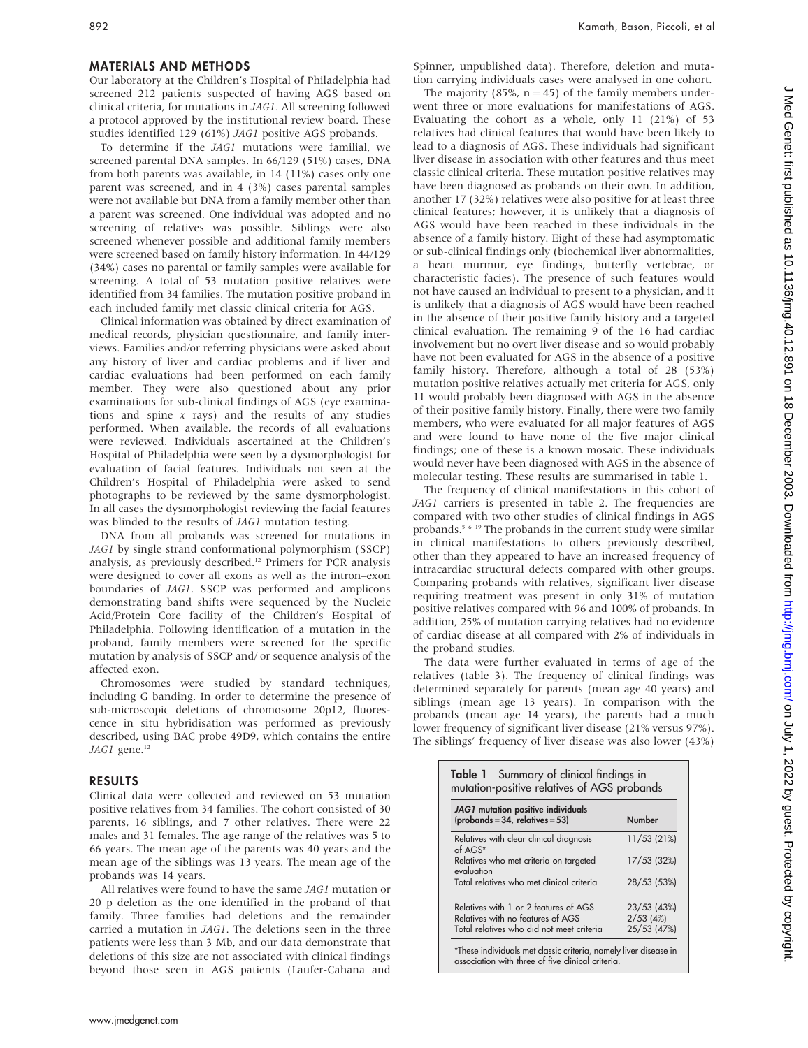### MATERIALS AND METHODS

Our laboratory at the Children's Hospital of Philadelphia had screened 212 patients suspected of having AGS based on clinical criteria, for mutations in JAG1. All screening followed a protocol approved by the institutional review board. These studies identified 129 (61%) JAG1 positive AGS probands.

To determine if the JAG1 mutations were familial, we screened parental DNA samples. In 66/129 (51%) cases, DNA from both parents was available, in 14 (11%) cases only one parent was screened, and in 4 (3%) cases parental samples were not available but DNA from a family member other than a parent was screened. One individual was adopted and no screening of relatives was possible. Siblings were also screened whenever possible and additional family members were screened based on family history information. In 44/129 (34%) cases no parental or family samples were available for screening. A total of 53 mutation positive relatives were identified from 34 families. The mutation positive proband in each included family met classic clinical criteria for AGS.

Clinical information was obtained by direct examination of medical records, physician questionnaire, and family interviews. Families and/or referring physicians were asked about any history of liver and cardiac problems and if liver and cardiac evaluations had been performed on each family member. They were also questioned about any prior examinations for sub-clinical findings of AGS (eye examinations and spine  $x$  rays) and the results of any studies performed. When available, the records of all evaluations were reviewed. Individuals ascertained at the Children's Hospital of Philadelphia were seen by a dysmorphologist for evaluation of facial features. Individuals not seen at the Children's Hospital of Philadelphia were asked to send photographs to be reviewed by the same dysmorphologist. In all cases the dysmorphologist reviewing the facial features was blinded to the results of JAG1 mutation testing.

DNA from all probands was screened for mutations in JAG1 by single strand conformational polymorphism (SSCP) analysis, as previously described.12 Primers for PCR analysis were designed to cover all exons as well as the intron–exon boundaries of JAG1. SSCP was performed and amplicons demonstrating band shifts were sequenced by the Nucleic Acid/Protein Core facility of the Children's Hospital of Philadelphia. Following identification of a mutation in the proband, family members were screened for the specific mutation by analysis of SSCP and/ or sequence analysis of the affected exon.

Chromosomes were studied by standard techniques, including G banding. In order to determine the presence of sub-microscopic deletions of chromosome 20p12, fluorescence in situ hybridisation was performed as previously described, using BAC probe 49D9, which contains the entire  $JAG1$  gene.<sup>12</sup>

## RESULTS

Clinical data were collected and reviewed on 53 mutation positive relatives from 34 families. The cohort consisted of 30 parents, 16 siblings, and 7 other relatives. There were 22 males and 31 females. The age range of the relatives was 5 to 66 years. The mean age of the parents was 40 years and the mean age of the siblings was 13 years. The mean age of the probands was 14 years.

All relatives were found to have the same JAG1 mutation or 20 p deletion as the one identified in the proband of that family. Three families had deletions and the remainder carried a mutation in JAG1. The deletions seen in the three patients were less than 3 Mb, and our data demonstrate that deletions of this size are not associated with clinical findings beyond those seen in AGS patients (Laufer-Cahana and

Spinner, unpublished data). Therefore, deletion and mutation carrying individuals cases were analysed in one cohort.

The majority (85%,  $n = 45$ ) of the family members underwent three or more evaluations for manifestations of AGS. Evaluating the cohort as a whole, only 11 (21%) of 53 relatives had clinical features that would have been likely to lead to a diagnosis of AGS. These individuals had significant liver disease in association with other features and thus meet classic clinical criteria. These mutation positive relatives may have been diagnosed as probands on their own. In addition, another 17 (32%) relatives were also positive for at least three clinical features; however, it is unlikely that a diagnosis of AGS would have been reached in these individuals in the absence of a family history. Eight of these had asymptomatic or sub-clinical findings only (biochemical liver abnormalities, a heart murmur, eye findings, butterfly vertebrae, or characteristic facies). The presence of such features would not have caused an individual to present to a physician, and it is unlikely that a diagnosis of AGS would have been reached in the absence of their positive family history and a targeted clinical evaluation. The remaining 9 of the 16 had cardiac involvement but no overt liver disease and so would probably have not been evaluated for AGS in the absence of a positive family history. Therefore, although a total of 28 (53%) mutation positive relatives actually met criteria for AGS, only 11 would probably been diagnosed with AGS in the absence of their positive family history. Finally, there were two family members, who were evaluated for all major features of AGS and were found to have none of the five major clinical findings; one of these is a known mosaic. These individuals would never have been diagnosed with AGS in the absence of molecular testing. These results are summarised in table 1.

The frequency of clinical manifestations in this cohort of JAG1 carriers is presented in table 2. The frequencies are compared with two other studies of clinical findings in AGS probands.5 6 19 The probands in the current study were similar in clinical manifestations to others previously described, other than they appeared to have an increased frequency of intracardiac structural defects compared with other groups. Comparing probands with relatives, significant liver disease requiring treatment was present in only 31% of mutation positive relatives compared with 96 and 100% of probands. In addition, 25% of mutation carrying relatives had no evidence of cardiac disease at all compared with 2% of individuals in the proband studies.

The data were further evaluated in terms of age of the relatives (table 3). The frequency of clinical findings was determined separately for parents (mean age 40 years) and siblings (mean age 13 years). In comparison with the probands (mean age 14 years), the parents had a much lower frequency of significant liver disease (21% versus 97%). The siblings' frequency of liver disease was also lower (43%)

| mutation-positive relatives of AGS probands                                         |                            |  |  |  |
|-------------------------------------------------------------------------------------|----------------------------|--|--|--|
| JAG1 mutation positive individuals<br>$( problems)$ (probands = 34, relatives = 53) | Number                     |  |  |  |
| Relatives with clear clinical diagnosis<br>of AGS*                                  | 11/53 (21%)                |  |  |  |
| Relatives who met criteria on targeted<br>evaluation                                | 17/53 (32%)                |  |  |  |
| Total relatives who met clinical criteria                                           | 28/53 (53%)                |  |  |  |
| Relatives with 1 or 2 features of AGS                                               | 23/53 (43%)                |  |  |  |
| Relatives with no features of AGS<br>Total relatives who did not meet criteria      | $2/53$ (4%)<br>25/53 (47%) |  |  |  |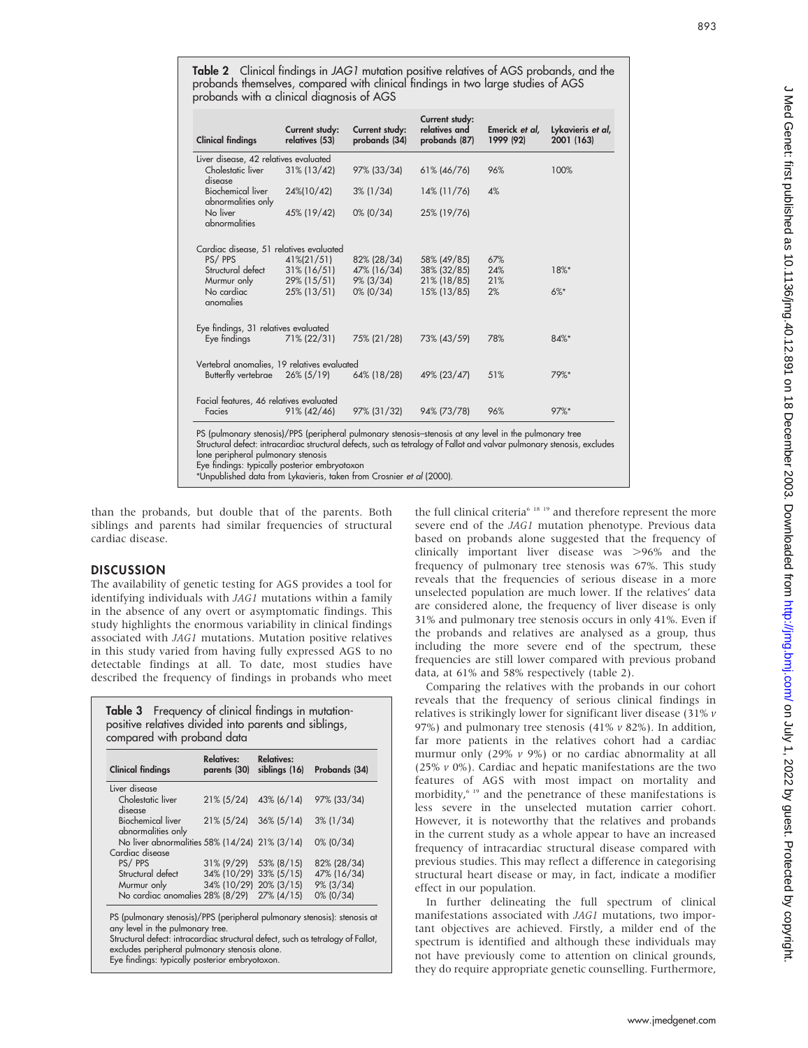| <b>Clinical findings</b>                       | Current study:<br>relatives (53) | Current study:<br>probands (34) | Current study:<br>relatives and<br>probands (87) | Emerick <i>et al.</i><br>1999 (92) | Lykavieris et al,<br>2001 (163) |
|------------------------------------------------|----------------------------------|---------------------------------|--------------------------------------------------|------------------------------------|---------------------------------|
| Liver disease, 42 relatives evaluated          |                                  |                                 |                                                  |                                    |                                 |
| Cholestatic liver<br>disease                   | $31\%$ (13/42)                   | 97% (33/34)                     | 61% (46/76)                                      | 96%                                | 100%                            |
| <b>Biochemical liver</b><br>abnormalities only | 24%(10/42)                       | $3\%$ (1/34)                    | $14\%$ (11/76)                                   | 4%                                 |                                 |
| No liver<br>abnormalities                      | 45% (19/42)                      | $0\%$ (0/34)                    | 25% (19/76)                                      |                                    |                                 |
| Cardiac disease, 51 relatives evaluated        |                                  |                                 |                                                  |                                    |                                 |
| PS/PPS                                         | $41\frac{8}{21/51}$              | 82% (28/34)                     | 58% (49/85)                                      | 67%                                |                                 |
| Structural defect                              | $31\%$ (16/51)                   | 47% (16/34)                     | 38% (32/85)                                      | 24%                                | $18%$ *                         |
| Murmur only                                    | 29% (15/51)                      | $9\%$ (3/34)                    | 21% (18/85)                                      | 21%                                |                                 |
| No cardiac<br>anomalies                        | 25% (13/51)                      | $0\%$ (0/34)                    | 15% (13/85)                                      | 2%                                 | $6%^*$                          |
| Eye findings, 31 relatives evaluated           |                                  |                                 |                                                  |                                    |                                 |
| Eye findings                                   | 71% (22/31)                      | 75% (21/28)                     | 73% (43/59)                                      | 78%                                | $84%$ *                         |
| Vertebral anomalies, 19 relatives evaluated    |                                  |                                 |                                                  |                                    |                                 |
| Butterfly vertebrae                            | 26% (5/19)                       | 64% (18/28)                     | 49% (23/47)                                      | 51%                                | 79%*                            |
| Facial features, 46 relatives evaluated        |                                  |                                 |                                                  |                                    |                                 |
| Facies                                         | 91% (42/46)                      | 97% (31/32)                     | 94% (73/78)                                      | 96%                                | $97\%$ *                        |
|                                                |                                  |                                 |                                                  |                                    |                                 |

PS (pulmonary stenosis)/PPS (peripheral pulmonary stenosis–stenosis at any level in the pulmonary tree Structural defect: intracardiac structural defects, such as tetralogy of Fallot and valvar pulmonary stenosis, excludes lone peripheral pulmonary stenosis

Eye findings: typically posterior embryotoxon

\*Unpublished data from Lykavieris, taken from Crosnier et al (2000).

than the probands, but double that of the parents. Both siblings and parents had similar frequencies of structural cardiac disease.

## **DISCUSSION**

The availability of genetic testing for AGS provides a tool for identifying individuals with JAG1 mutations within a family in the absence of any overt or asymptomatic findings. This study highlights the enormous variability in clinical findings associated with JAG1 mutations. Mutation positive relatives in this study varied from having fully expressed AGS to no detectable findings at all. To date, most studies have described the frequency of findings in probands who meet

Table 3 Frequency of clinical findings in mutationpositive relatives divided into parents and siblings, compared with proband data

| <b>Clinical findings</b>                      | <b>Relatives:</b><br>parents (30) | <b>Relatives:</b><br>siblings (16) | Probands (34) |
|-----------------------------------------------|-----------------------------------|------------------------------------|---------------|
| Liver disease                                 |                                   |                                    |               |
| Cholestatic liver                             | $21\%$ (5/24)                     | $43\%$ (6/14)                      | 97% (33/34)   |
| disease                                       |                                   |                                    |               |
| <b>Biochemical liver</b>                      | $21\%$ (5/24)                     | $36\%$ (5/14)                      | $3\%$ (1/34)  |
| abnormalities only                            |                                   |                                    |               |
| No liver abnormalities 58% (14/24) 21% (3/14) |                                   |                                    | $0\%$ (0/34)  |
| Cardiac disease                               |                                   |                                    |               |
| PS/PPS                                        | 31% (9/29) 53% (8/15)             |                                    | 82% (28/34)   |
| Structural defect                             | 34% (10/29) 33% (5/15)            |                                    | 47% (16/34)   |
| Murmur only                                   | 34% (10/29) 20% (3/15)            |                                    | $9\%$ (3/34)  |
| No cardiac anomalies 28% (8/29) 27% (4/15)    |                                   |                                    | 0% (0/34)     |

PS (pulmonary stenosis)/PPS (peripheral pulmonary stenosis): stenosis at any level in the pulmonary tree.

Structural defect: intracardiac structural defect, such as tetralogy of Fallot, excludes peripheral pulmonary stenosis alone.

Eye findings: typically posterior embryotoxon.

the full clinical criteria<sup>6</sup> <sup>18</sup> <sup>19</sup> and therefore represent the more severe end of the JAG1 mutation phenotype. Previous data based on probands alone suggested that the frequency of clinically important liver disease was  $>96\%$  and the frequency of pulmonary tree stenosis was 67%. This study reveals that the frequencies of serious disease in a more unselected population are much lower. If the relatives' data are considered alone, the frequency of liver disease is only 31% and pulmonary tree stenosis occurs in only 41%. Even if the probands and relatives are analysed as a group, thus including the more severe end of the spectrum, these frequencies are still lower compared with previous proband data, at 61% and 58% respectively (table 2).

Comparing the relatives with the probands in our cohort reveals that the frequency of serious clinical findings in relatives is strikingly lower for significant liver disease (31% v 97%) and pulmonary tree stenosis  $(41\% v 82\%)$ . In addition, far more patients in the relatives cohort had a cardiac murmur only  $(29\% \nu 9\%)$  or no cardiac abnormality at all (25%  $\nu$  0%). Cardiac and hepatic manifestations are the two features of AGS with most impact on mortality and morbidity,<sup>6 19</sup> and the penetrance of these manifestations is less severe in the unselected mutation carrier cohort. However, it is noteworthy that the relatives and probands in the current study as a whole appear to have an increased frequency of intracardiac structural disease compared with previous studies. This may reflect a difference in categorising structural heart disease or may, in fact, indicate a modifier effect in our population.

In further delineating the full spectrum of clinical manifestations associated with JAG1 mutations, two important objectives are achieved. Firstly, a milder end of the spectrum is identified and although these individuals may not have previously come to attention on clinical grounds, they do require appropriate genetic counselling. Furthermore,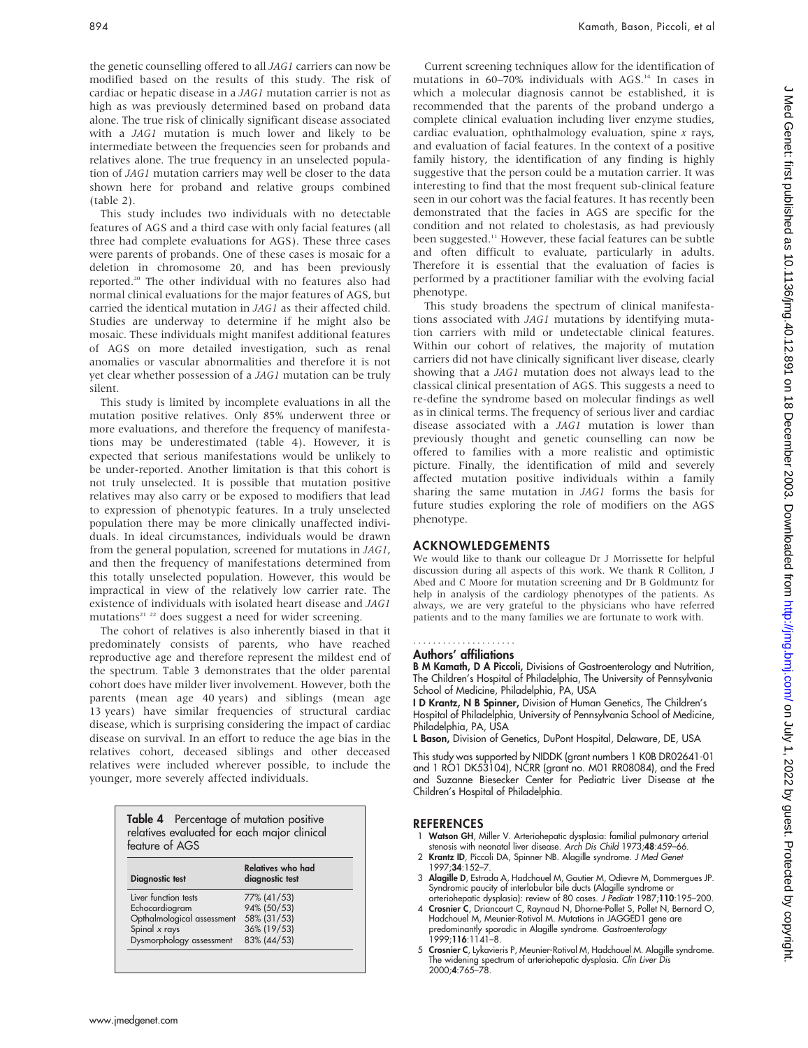the genetic counselling offered to all JAG1 carriers can now be modified based on the results of this study. The risk of cardiac or hepatic disease in a JAG1 mutation carrier is not as high as was previously determined based on proband data alone. The true risk of clinically significant disease associated with a JAG1 mutation is much lower and likely to be intermediate between the frequencies seen for probands and relatives alone. The true frequency in an unselected population of JAG1 mutation carriers may well be closer to the data shown here for proband and relative groups combined (table 2).

This study includes two individuals with no detectable features of AGS and a third case with only facial features (all three had complete evaluations for AGS). These three cases were parents of probands. One of these cases is mosaic for a deletion in chromosome 20, and has been previously reported.20 The other individual with no features also had normal clinical evaluations for the major features of AGS, but carried the identical mutation in JAG1 as their affected child. Studies are underway to determine if he might also be mosaic. These individuals might manifest additional features of AGS on more detailed investigation, such as renal anomalies or vascular abnormalities and therefore it is not yet clear whether possession of a JAG1 mutation can be truly silent.

This study is limited by incomplete evaluations in all the mutation positive relatives. Only 85% underwent three or more evaluations, and therefore the frequency of manifestations may be underestimated (table 4). However, it is expected that serious manifestations would be unlikely to be under-reported. Another limitation is that this cohort is not truly unselected. It is possible that mutation positive relatives may also carry or be exposed to modifiers that lead to expression of phenotypic features. In a truly unselected population there may be more clinically unaffected individuals. In ideal circumstances, individuals would be drawn from the general population, screened for mutations in JAG1, and then the frequency of manifestations determined from this totally unselected population. However, this would be impractical in view of the relatively low carrier rate. The existence of individuals with isolated heart disease and JAG1 mutations<sup>21 22</sup> does suggest a need for wider screening.

The cohort of relatives is also inherently biased in that it predominately consists of parents, who have reached reproductive age and therefore represent the mildest end of the spectrum. Table 3 demonstrates that the older parental cohort does have milder liver involvement. However, both the parents (mean age 40 years) and siblings (mean age 13 years) have similar frequencies of structural cardiac disease, which is surprising considering the impact of cardiac disease on survival. In an effort to reduce the age bias in the relatives cohort, deceased siblings and other deceased relatives were included wherever possible, to include the younger, more severely affected individuals.

| Table 4 Percentage of mutation positive<br>relatives evaluated for each major clinical<br>feature of AGS |                                      |  |  |
|----------------------------------------------------------------------------------------------------------|--------------------------------------|--|--|
| Diagnostic test                                                                                          | Relatives who had<br>diagnostic test |  |  |
| Liver function tests                                                                                     | 77% (41/53)                          |  |  |
| Echocardiogram                                                                                           | 94% (50/53)                          |  |  |
| Opthalmological assessment                                                                               | 58% (31/53)                          |  |  |
| Spinal x rays                                                                                            | 36% (19/53)                          |  |  |
| Dysmorphology assessment                                                                                 | 83% (44/53)                          |  |  |

Current screening techniques allow for the identification of mutations in 60–70% individuals with AGS.<sup>14</sup> In cases in which a molecular diagnosis cannot be established, it is recommended that the parents of the proband undergo a complete clinical evaluation including liver enzyme studies, cardiac evaluation, ophthalmology evaluation, spine  $x$  rays, and evaluation of facial features. In the context of a positive family history, the identification of any finding is highly suggestive that the person could be a mutation carrier. It was interesting to find that the most frequent sub-clinical feature seen in our cohort was the facial features. It has recently been demonstrated that the facies in AGS are specific for the condition and not related to cholestasis, as had previously been suggested.<sup>11</sup> However, these facial features can be subtle and often difficult to evaluate, particularly in adults. Therefore it is essential that the evaluation of facies is performed by a practitioner familiar with the evolving facial phenotype.

This study broadens the spectrum of clinical manifestations associated with JAG1 mutations by identifying mutation carriers with mild or undetectable clinical features. Within our cohort of relatives, the majority of mutation carriers did not have clinically significant liver disease, clearly showing that a JAG1 mutation does not always lead to the classical clinical presentation of AGS. This suggests a need to re-define the syndrome based on molecular findings as well as in clinical terms. The frequency of serious liver and cardiac disease associated with a JAG1 mutation is lower than previously thought and genetic counselling can now be offered to families with a more realistic and optimistic picture. Finally, the identification of mild and severely affected mutation positive individuals within a family sharing the same mutation in JAG1 forms the basis for future studies exploring the role of modifiers on the AGS phenotype.

## ACKNOWLEDGEMENTS

We would like to thank our colleague Dr J Morrissette for helpful discussion during all aspects of this work. We thank R Colliton, J Abed and C Moore for mutation screening and Dr B Goldmuntz for help in analysis of the cardiology phenotypes of the patients. As always, we are very grateful to the physicians who have referred patients and to the many families we are fortunate to work with.

#### Authors' affiliations .....................

B M Kamath, D A Piccoli, Divisions of Gastroenterology and Nutrition, The Children's Hospital of Philadelphia, The University of Pennsylvania School of Medicine, Philadelphia, PA, USA

I D Krantz, N B Spinner, Division of Human Genetics, The Children's Hospital of Philadelphia, University of Pennsylvania School of Medicine, Philadelphia, PA, USA

L Bason, Division of Genetics, DuPont Hospital, Delaware, DE, USA

This study was supported by NIDDK (grant numbers 1 K0B DR02641-01 and 1 RO1 DK53104), NCRR (grant no. M01 RR08084), and the Fred and Suzanne Biesecker Center for Pediatric Liver Disease at the Children's Hospital of Philadelphia.

## **REFERENCES**

- 1 Watson GH, Miller V. Arteriohepatic dysplasia: familial pulmonary arterial
- stenosis with neonatal liver disease. Arch Dis Child 1973;48:459–66. 2 Krantz ID, Piccoli DA, Spinner NB. Alagille syndrome. J Med Genet 1997;34:152-7.
- 3 Alagille D, Estrada A, Hadchouel M, Gautier M, Odievre M, Dommergues JP. Syndromic paucity of interlobular bile ducts (Alagille syndrome or arteriohepatic dysplasia): review of 80 cases. J Pediatr 1987;110:195–200.
- 4 Crosnier C, Driancourt C, Raynaud N, Dhorne-Pollet S, Pollet N, Bernard O, Hadchouel M, Meunier-Rotival M. Mutations in JAGGED1 gene are predominantly sporadic in Alagille syndrome. Gastroenterology 1999;116:1141–8.
- 5 Crosnier C, Lykavieris P, Meunier-Rotival M, Hadchouel M. Alagille syndrome. The widening spectrum of arteriohepatic dysplasia. Clin Liver Dis 2000;4:765–78.